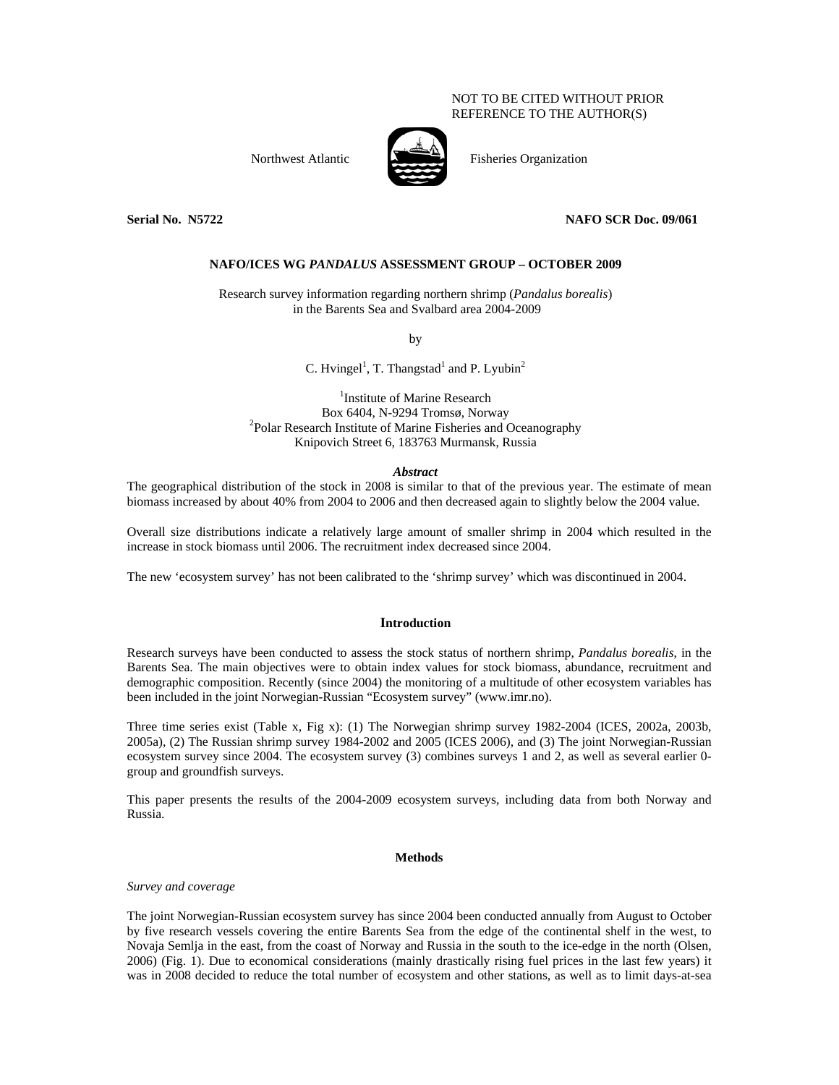# NOT TO BE CITED WITHOUT PRIOR REFERENCE TO THE AUTHOR(S)

Northwest Atlantic Fisheries Organization



# **Serial No. N5722 NAFO SCR Doc. 09/061**

# **NAFO/ICES WG** *PANDALUS* **ASSESSMENT GROUP – OCTOBER 2009**

Research survey information regarding northern shrimp (*Pandalus borealis*) in the Barents Sea and Svalbard area 2004-2009

by

C. Hvingel<sup>1</sup>, T. Thangstad<sup>1</sup> and P. Lyubin<sup>2</sup>

<sup>1</sup>Institute of Marine Research Box 6404, N-9294 Tromsø, Norway 2 <sup>2</sup>Polar Research Institute of Marine Fisheries and Oceanography Knipovich Street 6, 183763 Murmansk, Russia

## *Abstract*

The geographical distribution of the stock in 2008 is similar to that of the previous year. The estimate of mean biomass increased by about 40% from 2004 to 2006 and then decreased again to slightly below the 2004 value.

Overall size distributions indicate a relatively large amount of smaller shrimp in 2004 which resulted in the increase in stock biomass until 2006. The recruitment index decreased since 2004.

The new 'ecosystem survey' has not been calibrated to the 'shrimp survey' which was discontinued in 2004.

### **Introduction**

Research surveys have been conducted to assess the stock status of northern shrimp, *Pandalus borealis*, in the Barents Sea. The main objectives were to obtain index values for stock biomass, abundance, recruitment and demographic composition. Recently (since 2004) the monitoring of a multitude of other ecosystem variables has been included in the joint Norwegian-Russian "Ecosystem survey" (www.imr.no).

Three time series exist (Table x, Fig x): (1) The Norwegian shrimp survey 1982-2004 (ICES, 2002a, 2003b, 2005a), (2) The Russian shrimp survey 1984-2002 and 2005 (ICES 2006), and (3) The joint Norwegian-Russian ecosystem survey since 2004. The ecosystem survey (3) combines surveys 1 and 2, as well as several earlier 0 group and groundfish surveys.

This paper presents the results of the 2004-2009 ecosystem surveys, including data from both Norway and Russia.

# **Methods**

*Survey and coverage* 

The joint Norwegian-Russian ecosystem survey has since 2004 been conducted annually from August to October by five research vessels covering the entire Barents Sea from the edge of the continental shelf in the west, to Novaja Semlja in the east, from the coast of Norway and Russia in the south to the ice-edge in the north (Olsen, 2006) (Fig. 1). Due to economical considerations (mainly drastically rising fuel prices in the last few years) it was in 2008 decided to reduce the total number of ecosystem and other stations, as well as to limit days-at-sea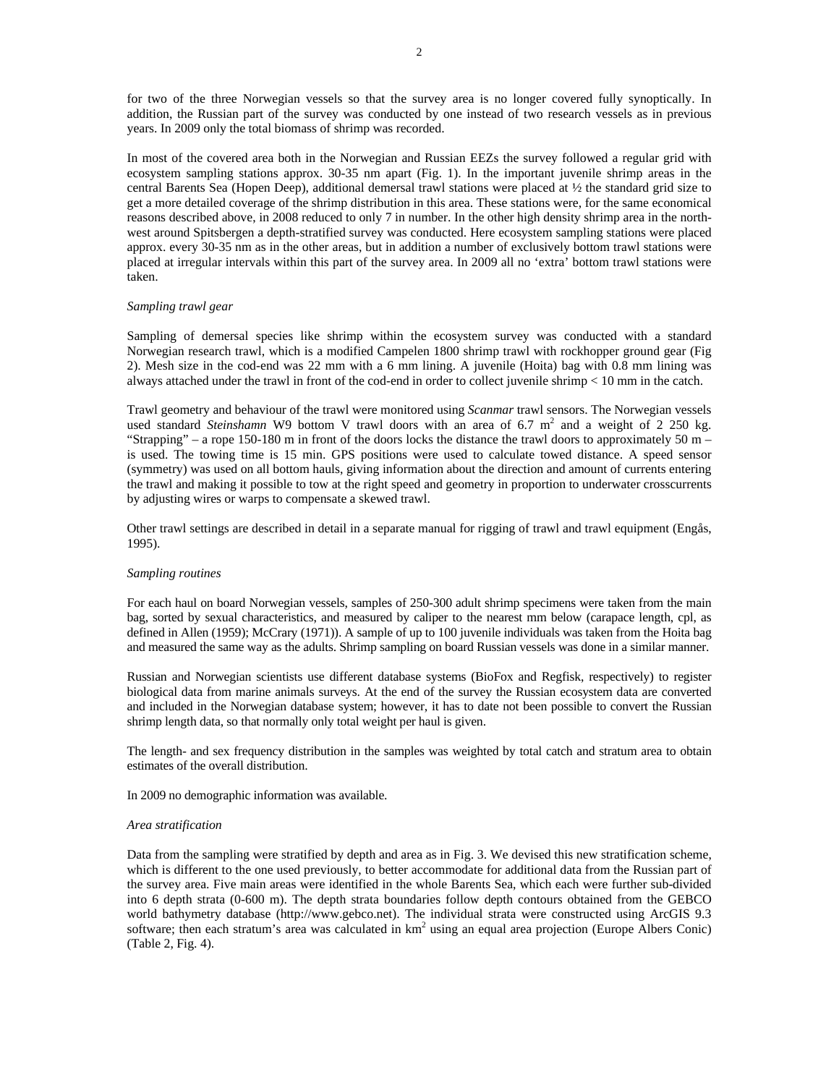for two of the three Norwegian vessels so that the survey area is no longer covered fully synoptically. In addition, the Russian part of the survey was conducted by one instead of two research vessels as in previous years. In 2009 only the total biomass of shrimp was recorded.

In most of the covered area both in the Norwegian and Russian EEZs the survey followed a regular grid with ecosystem sampling stations approx. 30-35 nm apart (Fig. 1). In the important juvenile shrimp areas in the central Barents Sea (Hopen Deep), additional demersal trawl stations were placed at ½ the standard grid size to get a more detailed coverage of the shrimp distribution in this area. These stations were, for the same economical reasons described above, in 2008 reduced to only 7 in number. In the other high density shrimp area in the northwest around Spitsbergen a depth-stratified survey was conducted. Here ecosystem sampling stations were placed approx. every 30-35 nm as in the other areas, but in addition a number of exclusively bottom trawl stations were placed at irregular intervals within this part of the survey area. In 2009 all no 'extra' bottom trawl stations were taken.

### *Sampling trawl gear*

Sampling of demersal species like shrimp within the ecosystem survey was conducted with a standard Norwegian research trawl, which is a modified Campelen 1800 shrimp trawl with rockhopper ground gear (Fig 2). Mesh size in the cod-end was 22 mm with a 6 mm lining. A juvenile (Hoita) bag with 0.8 mm lining was always attached under the trawl in front of the cod-end in order to collect juvenile shrimp < 10 mm in the catch.

Trawl geometry and behaviour of the trawl were monitored using *Scanmar* trawl sensors. The Norwegian vessels used standard *Steinshamn* W9 bottom V trawl doors with an area of 6.7 m<sup>2</sup> and a weight of 2 250 kg. "Strapping" – a rope 150-180 m in front of the doors locks the distance the trawl doors to approximately 50 m – is used. The towing time is 15 min. GPS positions were used to calculate towed distance. A speed sensor (symmetry) was used on all bottom hauls, giving information about the direction and amount of currents entering the trawl and making it possible to tow at the right speed and geometry in proportion to underwater crosscurrents by adjusting wires or warps to compensate a skewed trawl.

Other trawl settings are described in detail in a separate manual for rigging of trawl and trawl equipment (Engås, 1995).

### *Sampling routines*

For each haul on board Norwegian vessels, samples of 250-300 adult shrimp specimens were taken from the main bag, sorted by sexual characteristics, and measured by caliper to the nearest mm below (carapace length, cpl, as defined in Allen (1959); McCrary (1971)). A sample of up to 100 juvenile individuals was taken from the Hoita bag and measured the same way as the adults. Shrimp sampling on board Russian vessels was done in a similar manner.

Russian and Norwegian scientists use different database systems (BioFox and Regfisk, respectively) to register biological data from marine animals surveys. At the end of the survey the Russian ecosystem data are converted and included in the Norwegian database system; however, it has to date not been possible to convert the Russian shrimp length data, so that normally only total weight per haul is given.

The length- and sex frequency distribution in the samples was weighted by total catch and stratum area to obtain estimates of the overall distribution.

In 2009 no demographic information was available.

#### *Area stratification*

Data from the sampling were stratified by depth and area as in Fig. 3. We devised this new stratification scheme, which is different to the one used previously, to better accommodate for additional data from the Russian part of the survey area. Five main areas were identified in the whole Barents Sea, which each were further sub-divided into 6 depth strata (0-600 m). The depth strata boundaries follow depth contours obtained from the GEBCO world bathymetry database (http://www.gebco.net). The individual strata were constructed using ArcGIS 9.3 software; then each stratum's area was calculated in  $km^2$  using an equal area projection (Europe Albers Conic) (Table 2, Fig. 4).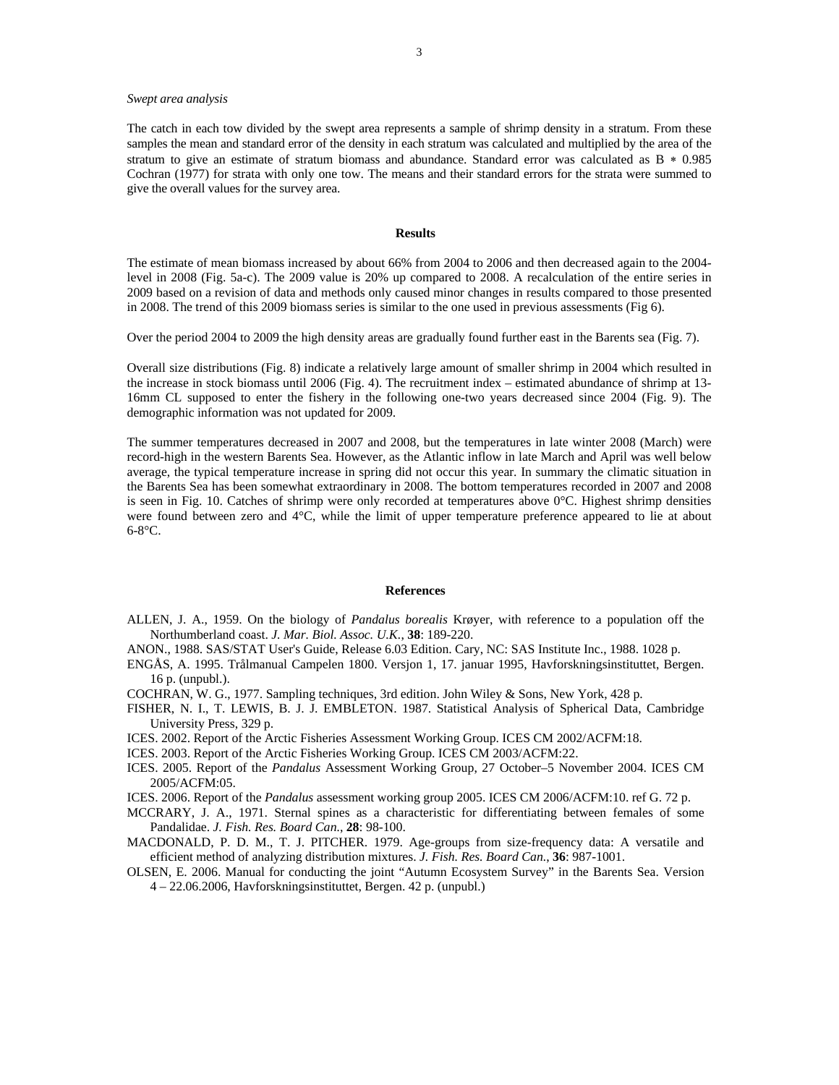### *Swept area analysis*

The catch in each tow divided by the swept area represents a sample of shrimp density in a stratum. From these samples the mean and standard error of the density in each stratum was calculated and multiplied by the area of the stratum to give an estimate of stratum biomass and abundance. Standard error was calculated as B  $*$  0.985 Cochran (1977) for strata with only one tow. The means and their standard errors for the strata were summed to give the overall values for the survey area.

### **Results**

The estimate of mean biomass increased by about 66% from 2004 to 2006 and then decreased again to the 2004 level in 2008 (Fig. 5a-c). The 2009 value is 20% up compared to 2008. A recalculation of the entire series in 2009 based on a revision of data and methods only caused minor changes in results compared to those presented in 2008. The trend of this 2009 biomass series is similar to the one used in previous assessments (Fig 6).

Over the period 2004 to 2009 the high density areas are gradually found further east in the Barents sea (Fig. 7).

Overall size distributions (Fig. 8) indicate a relatively large amount of smaller shrimp in 2004 which resulted in the increase in stock biomass until 2006 (Fig. 4). The recruitment index – estimated abundance of shrimp at 13- 16mm CL supposed to enter the fishery in the following one-two years decreased since 2004 (Fig. 9). The demographic information was not updated for 2009.

The summer temperatures decreased in 2007 and 2008, but the temperatures in late winter 2008 (March) were record-high in the western Barents Sea. However, as the Atlantic inflow in late March and April was well below average, the typical temperature increase in spring did not occur this year. In summary the climatic situation in the Barents Sea has been somewhat extraordinary in 2008. The bottom temperatures recorded in 2007 and 2008 is seen in Fig. 10. Catches of shrimp were only recorded at temperatures above 0°C. Highest shrimp densities were found between zero and 4°C, while the limit of upper temperature preference appeared to lie at about  $6-8$ °C.

#### **References**

- ALLEN, J. A., 1959. On the biology of *Pandalus borealis* Krøyer, with reference to a population off the Northumberland coast. *J. Mar. Biol. Assoc. U.K.*, **38**: 189-220.
- ANON., 1988. SAS/STAT User's Guide, Release 6.03 Edition. Cary, NC: SAS Institute Inc., 1988. 1028 p.
- ENGÅS, A. 1995. Trålmanual Campelen 1800. Versjon 1, 17. januar 1995, Havforskningsinstituttet, Bergen. 16 p. (unpubl.).
- COCHRAN, W. G., 1977. Sampling techniques, 3rd edition. John Wiley & Sons, New York, 428 p.
- FISHER, N. I., T. LEWIS, B. J. J. EMBLETON. 1987. Statistical Analysis of Spherical Data, Cambridge University Press, 329 p.
- ICES. 2002. Report of the Arctic Fisheries Assessment Working Group. ICES CM 2002/ACFM:18.
- ICES. 2003. Report of the Arctic Fisheries Working Group. ICES CM 2003/ACFM:22.
- ICES. 2005. Report of the *Pandalus* Assessment Working Group, 27 October–5 November 2004. ICES CM 2005/ACFM:05.
- ICES. 2006. Report of the *Pandalus* assessment working group 2005. ICES CM 2006/ACFM:10. ref G. 72 p.
- MCCRARY, J. A., 1971. Sternal spines as a characteristic for differentiating between females of some Pandalidae. *J. Fish. Res. Board Can.*, **28**: 98-100.
- MACDONALD, P. D. M., T. J. PITCHER. 1979. Age-groups from size-frequency data: A versatile and efficient method of analyzing distribution mixtures. *J. Fish. Res. Board Can.*, **36**: 987-1001.
- OLSEN, E. 2006. Manual for conducting the joint "Autumn Ecosystem Survey" in the Barents Sea. Version 4 – 22.06.2006, Havforskningsinstituttet, Bergen. 42 p. (unpubl.)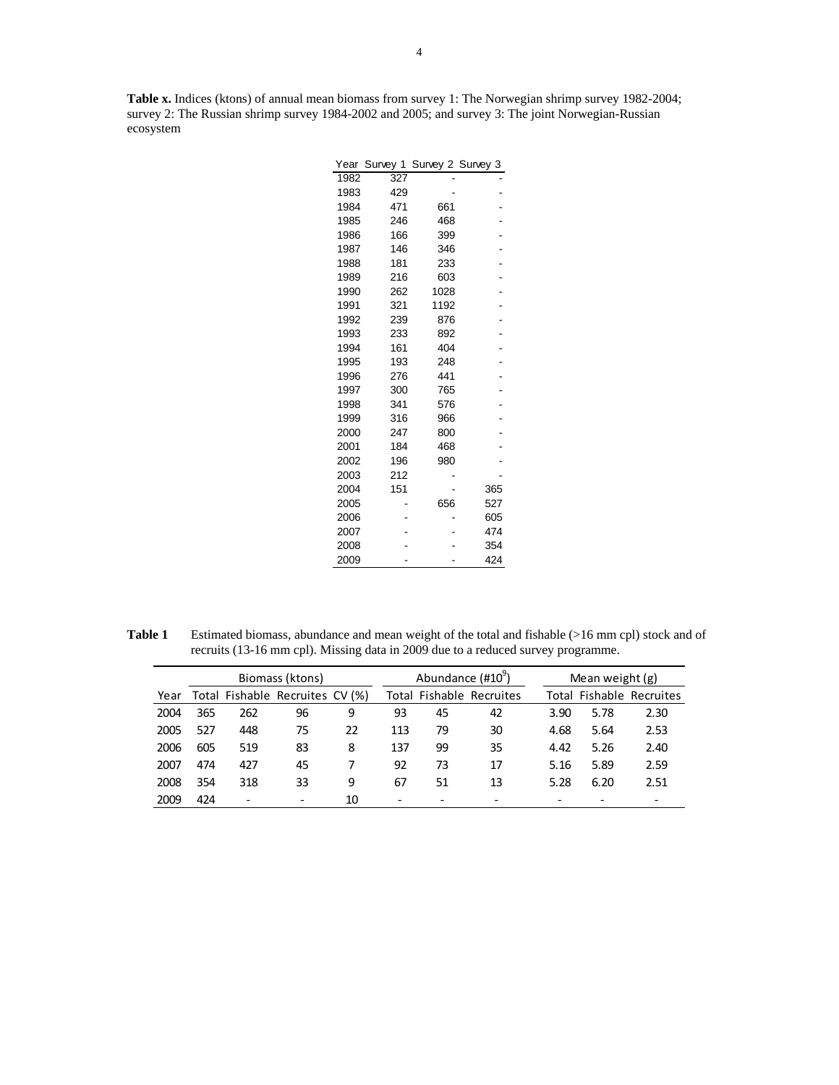**Table x.** Indices (ktons) of annual mean biomass from survey 1: The Norwegian shrimp survey 1982-2004; survey 2: The Russian shrimp survey 1984-2002 and 2005; and survey 3: The joint Norwegian-Russian ecosystem

| Year | Survey 1 | Survey 2 Survey 3 |     |
|------|----------|-------------------|-----|
| 1982 | 327      |                   |     |
| 1983 | 429      |                   |     |
| 1984 | 471      | 661               |     |
| 1985 | 246      | 468               |     |
| 1986 | 166      | 399               |     |
| 1987 | 146      | 346               |     |
| 1988 | 181      | 233               |     |
| 1989 | 216      | 603               |     |
| 1990 | 262      | 1028              |     |
| 1991 | 321      | 1192              |     |
| 1992 | 239      | 876               |     |
| 1993 | 233      | 892               |     |
| 1994 | 161      | 404               |     |
| 1995 | 193      | 248               |     |
| 1996 | 276      | 441               |     |
| 1997 | 300      | 765               |     |
| 1998 | 341      | 576               |     |
| 1999 | 316      | 966               |     |
| 2000 | 247      | 800               |     |
| 2001 | 184      | 468               |     |
| 2002 | 196      | 980               |     |
| 2003 | 212      |                   |     |
| 2004 | 151      |                   | 365 |
| 2005 |          | 656               | 527 |
| 2006 |          |                   | 605 |
| 2007 |          |                   | 474 |
| 2008 |          |                   | 354 |
| 2009 |          |                   | 424 |

**Table 1** Estimated biomass, abundance and mean weight of the total and fishable (>16 mm cpl) stock and of recruits (13-16 mm cpl). Missing data in 2009 due to a reduced survey programme.

|      |     |                          | Biomass (ktons)                 |    |     | Abundance (#10 <sup>9</sup> ) |                                 |      | Mean weight $(g)$ |                          |  |  |  |
|------|-----|--------------------------|---------------------------------|----|-----|-------------------------------|---------------------------------|------|-------------------|--------------------------|--|--|--|
| Year |     |                          | Total Fishable Recruites CV (%) |    |     |                               | <b>Total Fishable Recruites</b> |      |                   | Total Fishable Recruites |  |  |  |
| 2004 | 365 | 262                      | 96                              | 9  | 93  | 45                            | 42                              | 3.90 | 5.78              | 2.30                     |  |  |  |
| 2005 | 527 | 448                      | 75                              | 22 | 113 | 79                            | 30                              | 4.68 | 5.64              | 2.53                     |  |  |  |
| 2006 | 605 | 519                      | 83                              | 8  | 137 | 99                            | 35                              | 4.42 | 5.26              | 2.40                     |  |  |  |
| 2007 | 474 | 427                      | 45                              | 7  | 92  | 73                            | 17                              | 5.16 | 5.89              | 2.59                     |  |  |  |
| 2008 | 354 | 318                      | 33                              | 9  | 67  | 51                            | 13                              | 5.28 | 6.20              | 2.51                     |  |  |  |
| 2009 | 424 | $\overline{\phantom{0}}$ |                                 | 10 |     |                               |                                 |      |                   |                          |  |  |  |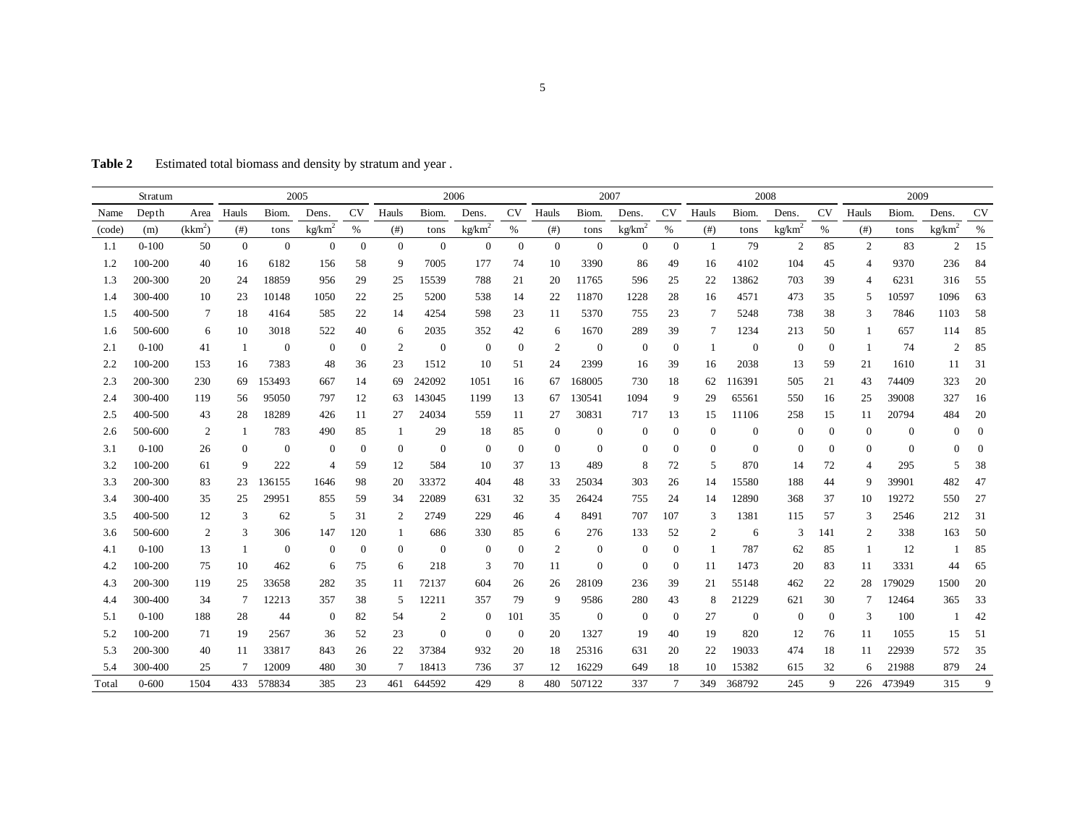Table 2 Estimated total biomass and density by stratum and year.

| Stratum |           |                     | 2005           |                |                    |                  | 2006           |                  |                    |                | 2007           |                  |                    |                  | 2008           |                |                    |                  | 2009             |                |                    |                  |
|---------|-----------|---------------------|----------------|----------------|--------------------|------------------|----------------|------------------|--------------------|----------------|----------------|------------------|--------------------|------------------|----------------|----------------|--------------------|------------------|------------------|----------------|--------------------|------------------|
| Name    | Depth     | Area                | Hauls          | Biom.          | Dens.              | <b>CV</b>        | Hauls          | Biom.            | Dens.              | CV             | Hauls          | Biom.            | Dens.              | <b>CV</b>        | Hauls          | Biom.          | Dens.              | <b>CV</b>        | Hauls            | Biom.          | Dens.              | <b>CV</b>        |
| (code)  | (m)       | (kkm <sup>2</sup> ) | $($ # $)$      | tons           | kg/km <sup>2</sup> | $\%$             | $($ # $)$      | tons             | kg/km <sup>2</sup> | $\%$           | $($ # $)$      | tons             | kg/km <sup>2</sup> | %                | (# )           | tons           | kg/km <sup>2</sup> | %                | (# )             | tons           | kg/km <sup>2</sup> | $\%$             |
| 1.1     | $0-100$   | 50                  | $\mathbf{0}$   | $\overline{0}$ | $\overline{0}$     | $\overline{0}$   | $\mathbf{0}$   | $\mathbf{0}$     | $\overline{0}$     | $\overline{0}$ | $\overline{0}$ | $\mathbf{0}$     | $\overline{0}$     | $\mathbf{0}$     | -1             | 79             | 2                  | 85               | 2                | 83             | $\overline{2}$     | 15               |
| 1.2     | 100-200   | 40                  | 16             | 6182           | 156                | 58               | 9              | 7005             | 177                | 74             | 10             | 3390             | 86                 | 49               | 16             | 4102           | 104                | 45               | $\overline{4}$   | 9370           | 236                | 84               |
| 1.3     | 200-300   | 20                  | 24             | 18859          | 956                | 29               | 25             | 15539            | 788                | 21             | 20             | 11765            | 596                | 25               | 22             | 13862          | 703                | 39               | $\overline{4}$   | 6231           | 316                | 55               |
| 1.4     | 300-400   | 10                  | 23             | 10148          | 1050               | 22               | 25             | 5200             | 538                | 14             | 22             | 11870            | 1228               | 28               | 16             | 4571           | 473                | 35               | 5                | 10597          | 1096               | 63               |
| 1.5     | 400-500   | 7                   | 18             | 4164           | 585                | 22               | 14             | 4254             | 598                | 23             | 11             | 5370             | 755                | 23               | 7              | 5248           | 738                | 38               | 3                | 7846           | 1103               | 58               |
| 1.6     | 500-600   | 6                   | 10             | 3018           | 522                | 40               | 6              | 2035             | 352                | 42             | 6              | 1670             | 289                | 39               | 7              | 1234           | 213                | 50               | -1               | 657            | 114                | 85               |
| 2.1     | $0 - 100$ | 41                  | -1             | $\mathbf{0}$   | $\mathbf{0}$       | $\boldsymbol{0}$ | $\overline{2}$ | $\boldsymbol{0}$ | $\overline{0}$     | $\overline{0}$ | $\overline{2}$ | $\mathbf{0}$     | $\overline{0}$     | $\mathbf{0}$     | -1             | $\overline{0}$ | $\overline{0}$     | $\boldsymbol{0}$ | -1               | 74             | $\overline{2}$     | 85               |
| 2.2     | 100-200   | 153                 | 16             | 7383           | 48                 | 36               | 23             | 1512             | 10                 | 51             | 24             | 2399             | 16                 | 39               | 16             | 2038           | 13                 | 59               | 21               | 1610           | -11                | 31               |
| 2.3     | 200-300   | 230                 | 69             | 153493         | 667                | 14               | 69             | 242092           | 1051               | 16             | 67             | 168005           | 730                | 18               | 62             | 116391         | 505                | 21               | 43               | 74409          | 323                | 20               |
| 2.4     | 300-400   | 119                 | 56             | 95050          | 797                | 12               | 63             | 143045           | 1199               | 13             | 67             | 130541           | 1094               | 9                | 29             | 65561          | 550                | 16               | 25               | 39008          | 327                | 16               |
| 2.5     | 400-500   | 43                  | 28             | 18289          | 426                | 11               | 27             | 24034            | 559                | 11             | 27             | 30831            | 717                | 13               | 15             | 11106          | 258                | 15               | 11               | 20794          | 484                | 20               |
| 2.6     | 500-600   | $\overline{2}$      | -1             | 783            | 490                | 85               | -1             | 29               | 18                 | 85             | $\overline{0}$ | $\boldsymbol{0}$ | $\mathbf{0}$       | $\boldsymbol{0}$ | $\overline{0}$ | $\mathbf{0}$   | $\theta$           | $\boldsymbol{0}$ | $\boldsymbol{0}$ | $\overline{0}$ | $\Omega$           | $\boldsymbol{0}$ |
| 3.1     | $0 - 100$ | 26                  | $\overline{0}$ | $\mathbf{0}$   | $\mathbf{0}$       | $\bf{0}$         | $\overline{0}$ | $\mathbf{0}$     | $\overline{0}$     | $\bf{0}$       | $\mathbf{0}$   | $\mathbf{0}$     | $\theta$           | $\boldsymbol{0}$ | $\mathbf{0}$   | $\mathbf{0}$   | $\theta$           | $\mathbf{0}$     | $\overline{0}$   | $\overline{0}$ | 0                  | $\mathbf{0}$     |
| 3.2     | 100-200   | 61                  | 9              | 222            | $\overline{4}$     | 59               | 12             | 584              | 10                 | 37             | 13             | 489              | 8                  | 72               | 5              | 870            | 14                 | 72               | $\overline{4}$   | 295            | 5                  | 38               |
| 3.3     | 200-300   | 83                  | 23             | 136155         | 1646               | 98               | 20             | 33372            | 404                | 48             | 33             | 25034            | 303                | 26               | 14             | 15580          | 188                | 44               | 9                | 39901          | 482                | 47               |
| 3.4     | 300-400   | 35                  | 25             | 29951          | 855                | 59               | 34             | 22089            | 631                | 32             | 35             | 26424            | 755                | 24               | 14             | 12890          | 368                | 37               | 10               | 19272          | 550                | 27               |
| 3.5     | 400-500   | 12                  | 3              | 62             | 5                  | 31               | 2              | 2749             | 229                | 46             | $\overline{4}$ | 8491             | 707                | 107              | 3              | 1381           | 115                | 57               | 3                | 2546           | 212                | 31               |
| 3.6     | 500-600   | 2                   | 3              | 306            | 147                | 120              |                | 686              | 330                | 85             | 6              | 276              | 133                | 52               | 2              | 6              | 3                  | 141              | 2                | 338            | 163                | 50               |
| 4.1     | $0 - 100$ | 13                  | -1             | $\overline{0}$ | $\Omega$           | $\bf{0}$         | $\mathbf{0}$   | $\mathbf{0}$     | $\overline{0}$     | $\overline{0}$ | $\overline{2}$ | $\boldsymbol{0}$ | $\mathbf{0}$       | $\bf{0}$         | $\overline{1}$ | 787            | 62                 | 85               | -1               | 12             |                    | 85               |
| 4.2     | 100-200   | 75                  | 10             | 462            | 6                  | 75               | 6              | 218              | 3                  | 70             | 11             | $\boldsymbol{0}$ | $\overline{0}$     | $\overline{0}$   | 11             | 1473           | 20                 | 83               | 11               | 3331           | 44                 | 65               |
| 4.3     | 200-300   | 119                 | 25             | 33658          | 282                | 35               | 11             | 72137            | 604                | 26             | 26             | 28109            | 236                | 39               | 21             | 55148          | 462                | 22               | 28               | 179029         | 1500               | 20               |
| 4.4     | 300-400   | 34                  | 7              | 12213          | 357                | 38               | 5              | 12211            | 357                | 79             | 9              | 9586             | 280                | 43               | 8              | 21229          | 621                | 30               | 7                | 12464          | 365                | 33               |
| 5.1     | $0 - 100$ | 188                 | 28             | 44             | $\mathbf{0}$       | 82               | 54             | 2                | $\mathbf{0}$       | 101            | 35             | $\boldsymbol{0}$ | $\overline{0}$     | $\mathbf{0}$     | 27             | $\mathbf{0}$   | $\overline{0}$     | $\overline{0}$   | 3                | 100            |                    | 42               |
| 5.2     | 100-200   | 71                  | 19             | 2567           | 36                 | 52               | 23             | $\mathbf{0}$     | $\overline{0}$     | $\theta$       | 20             | 1327             | 19                 | 40               | 19             | 820            | 12                 | 76               | 11               | 1055           | 15                 | 51               |
| 5.3     | 200-300   | 40                  | 11             | 33817          | 843                | 26               | 22             | 37384            | 932                | 20             | 18             | 25316            | 631                | 20               | 22             | 19033          | 474                | 18               | 11               | 22939          | 572                | 35               |
| 5.4     | 300-400   | 25                  |                | 12009          | 480                | 30               |                | 18413            | 736                | 37             | 12             | 16229            | 649                | 18               | 10             | 15382          | 615                | 32               | 6                | 21988          | 879                | 24               |
| Total   | $0 - 600$ | 1504                |                | 433 578834     | 385                | 23               | 461            | 644592           | 429                | 8              | 480            | 507122           | 337                | 7                | 349            | 368792         | 245                | 9                |                  | 226 473949     | 315                | 9                |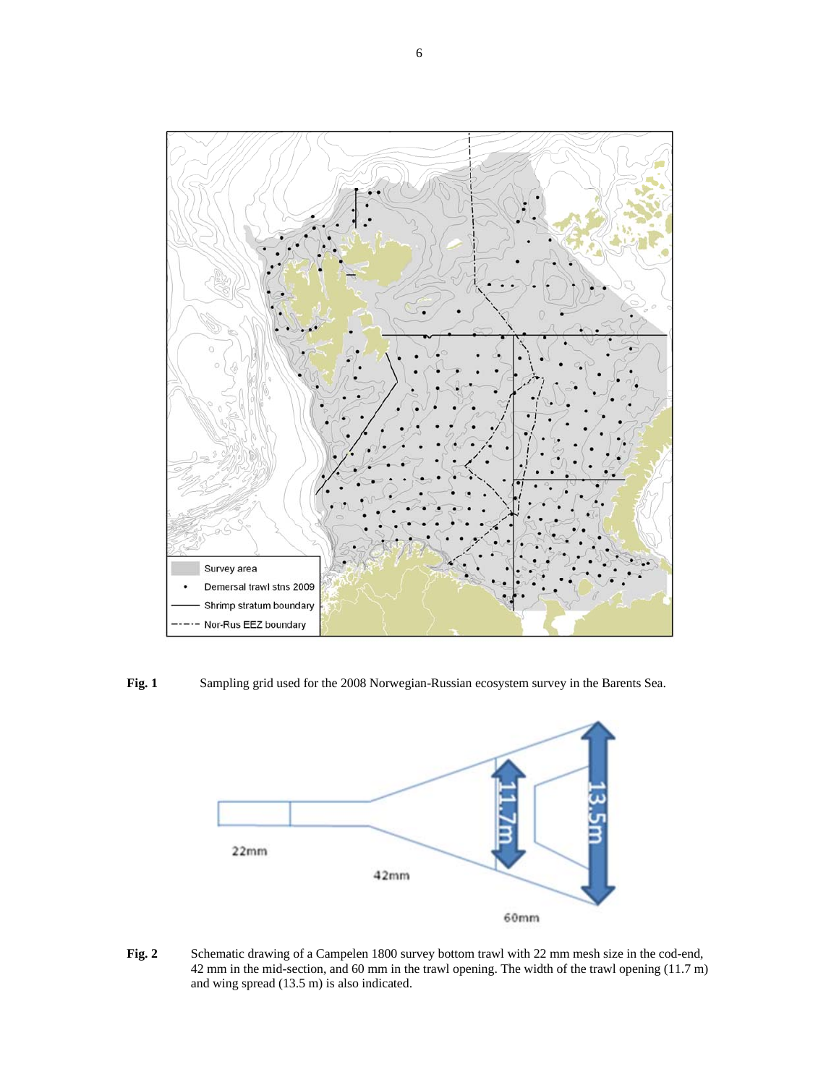

**Fig. 1** Sampling grid used for the 2008 Norwegian-Russian ecosystem survey in the Barents Sea.



Fig. 2 Schematic drawing of a Campelen 1800 survey bottom trawl with 22 mm mesh size in the cod-end, 42 mm in the mid-section, and 60 mm in the trawl opening. The width of the trawl opening (11.7 m) and wing spread (13.5 m) is also indicated.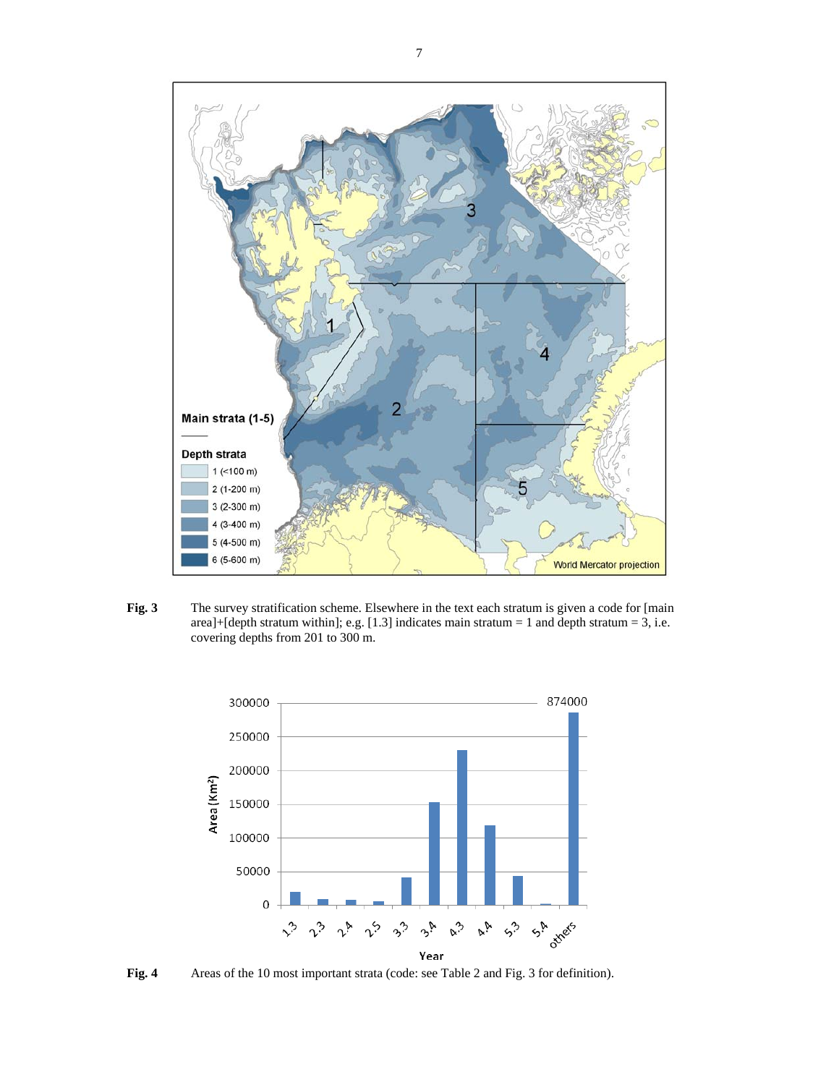

**Fig. 3** The survey stratification scheme. Elsewhere in the text each stratum is given a code for [main area]+[depth stratum within]; e.g. [1.3] indicates main stratum = 1 and depth stratum = 3, i.e. covering depths from 201 to 300 m.



**Fig. 4** Areas of the 10 most important strata (code: see Table 2 and Fig. 3 for definition).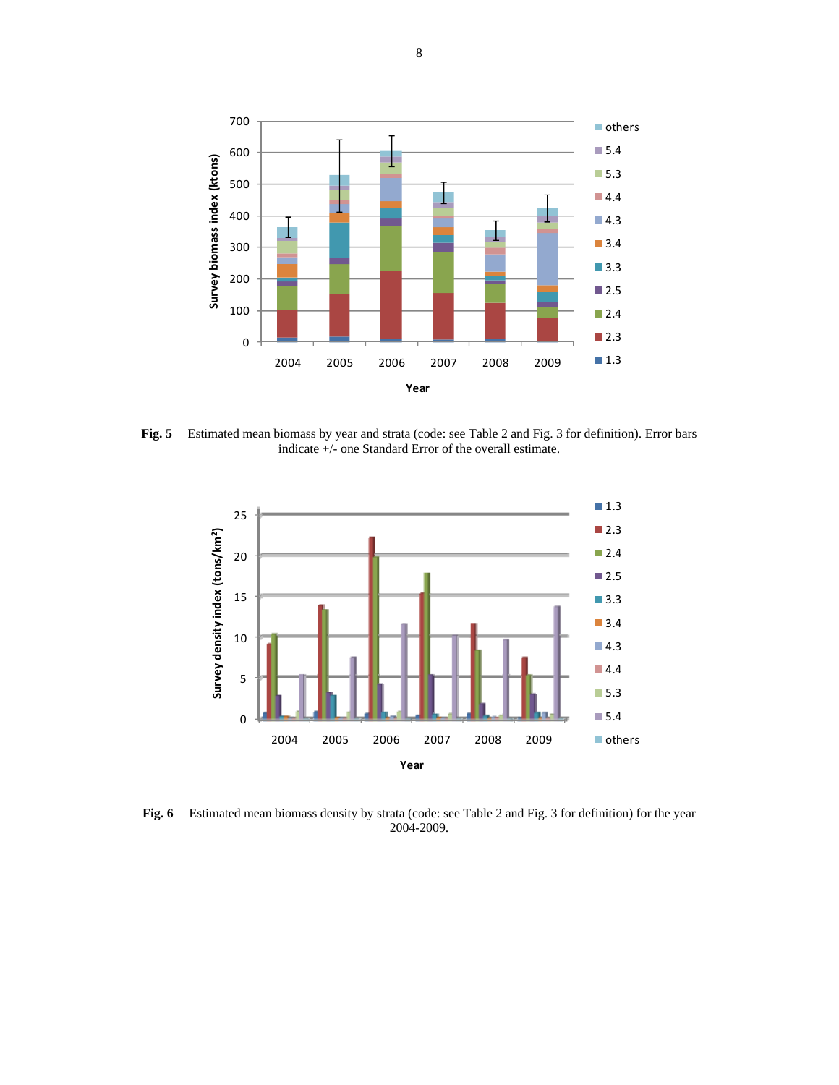

**Fig. 5** Estimated mean biomass by year and strata (code: see Table 2 and Fig. 3 for definition). Error bars indicate +/- one Standard Error of the overall estimate.



**Fig. 6** Estimated mean biomass density by strata (code: see Table 2 and Fig. 3 for definition) for the year 2004-2009.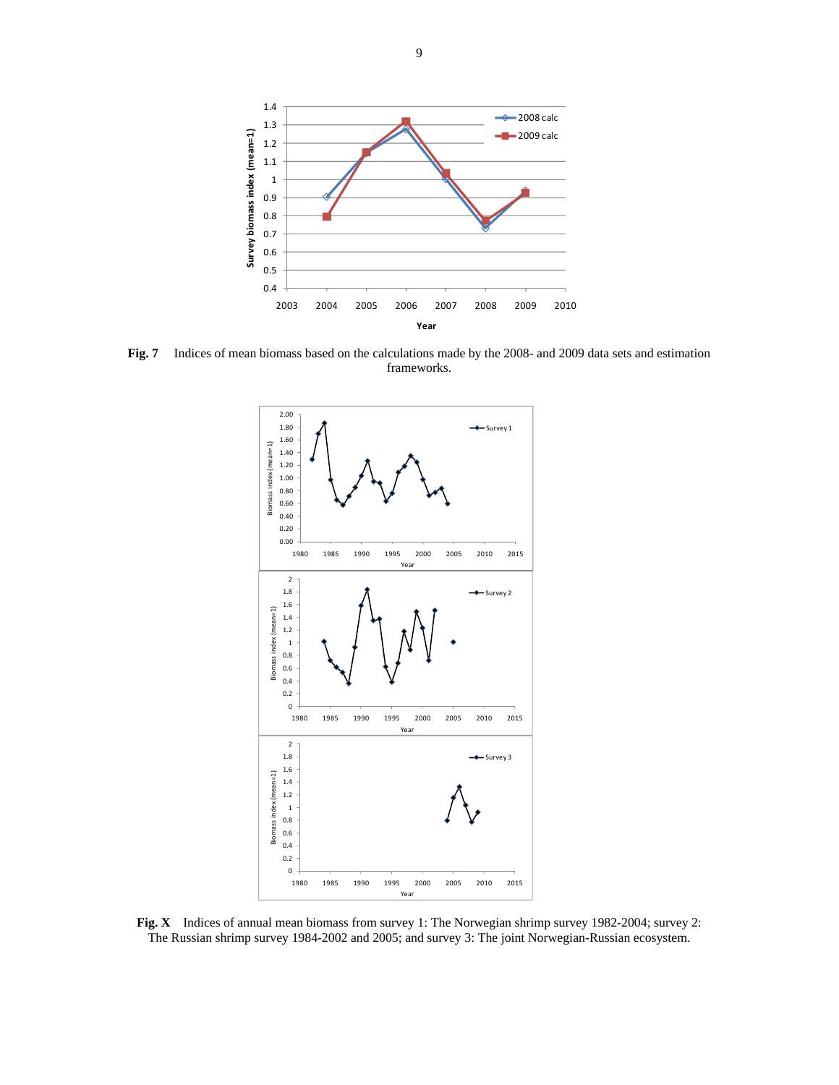

**Fig. 7** Indices of mean biomass based on the calculations made by the 2008- and 2009 data sets and estimation frameworks.



**Fig. X** Indices of annual mean biomass from survey 1: The Norwegian shrimp survey 1982-2004; survey 2: The Russian shrimp survey 1984-2002 and 2005; and survey 3: The joint Norwegian-Russian ecosystem.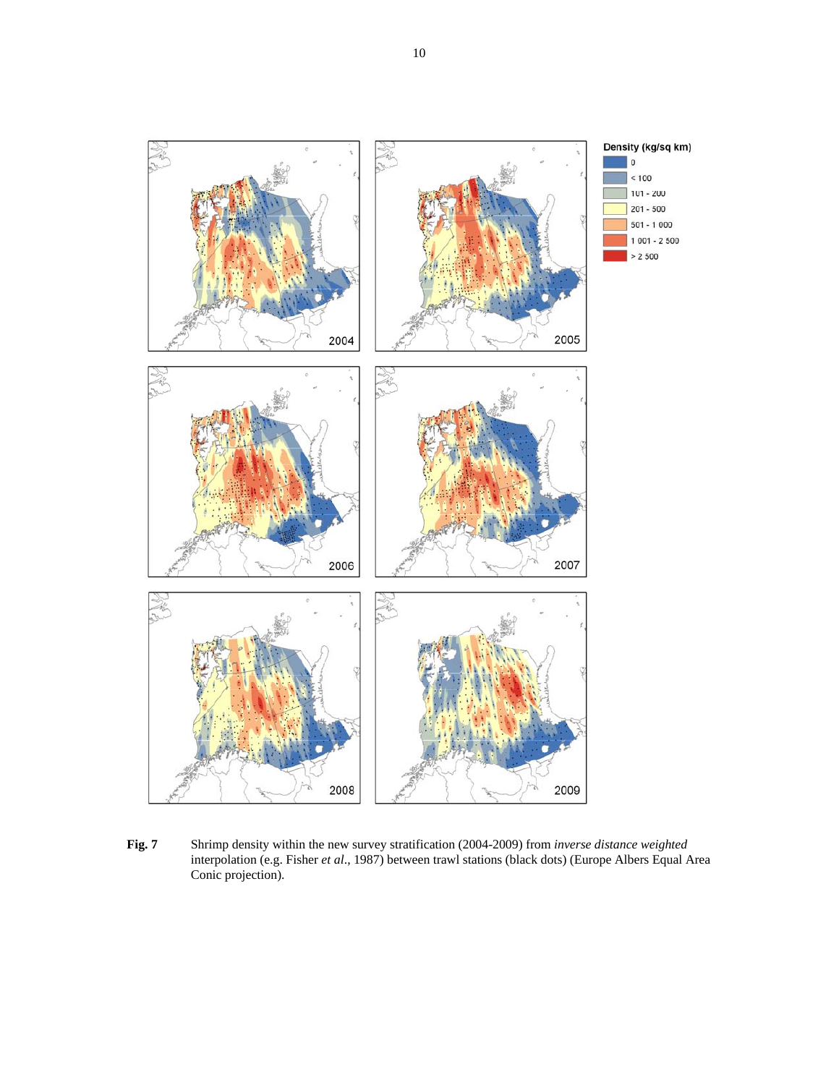

**Fig. 7** Shrimp density within the new survey stratification (2004-2009) from *inverse distance weighted* interpolation (e.g. Fisher *et al*., 1987) between trawl stations (black dots) (Europe Albers Equal Area Conic projection).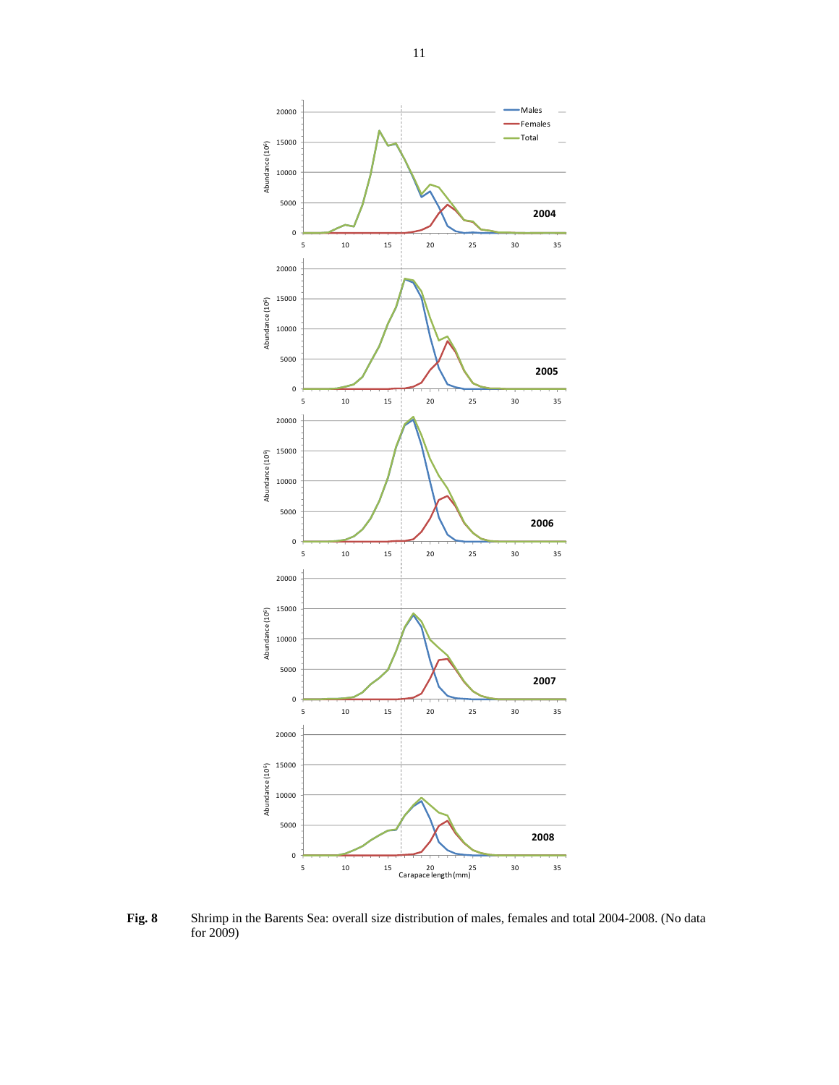

**Fig. 8** Shrimp in the Barents Sea: overall size distribution of males, females and total 2004-2008. (No data for 2009)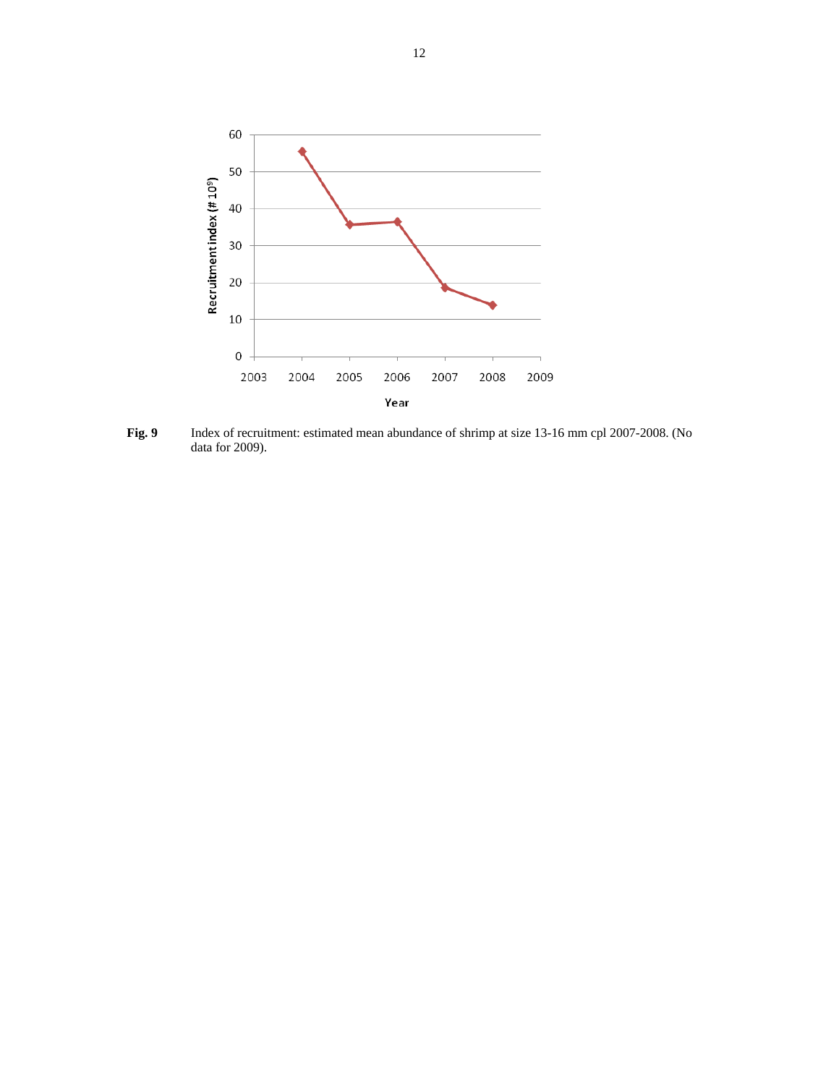

**Fig. 9** Index of recruitment: estimated mean abundance of shrimp at size 13-16 mm cpl 2007-2008. (No data for 2009).